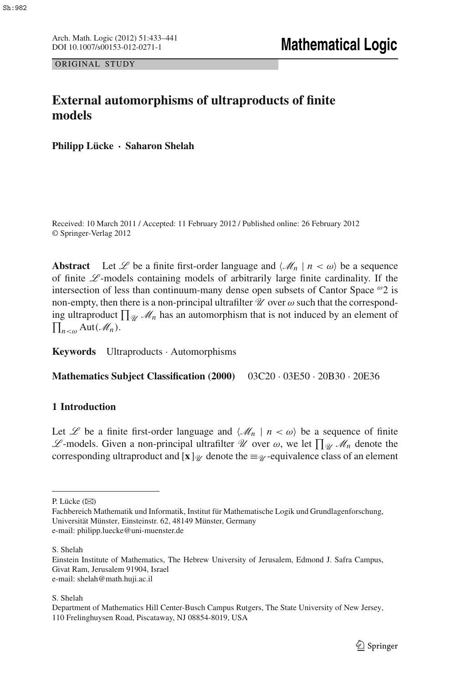Arch. Math. Logic (2012) 51:433-441<br>DOI 10.1007/s00153-012-0271-1

ORIGINAL STUDY

# **External automorphisms of ultraproducts of finite models**

**Philipp Lücke · Saharon Shelah**

Received: 10 March 2011 / Accepted: 11 February 2012 / Published online: 26 February 2012 © Springer-Verlag 2012

**Abstract** Let  $\mathcal{L}$  be a finite first-order language and  $\langle \mathcal{M}_n | n \langle \omega \rangle$  be a sequence of finite *L* -models containing models of arbitrarily large finite cardinality. If the intersection of less than continuum-many dense open subsets of Cantor Space  $\omega_2$  is non-empty, then there is a non-principal ultrafilter  $\mathcal U$  over  $\omega$  such that the corresponding ultraproduct  $\prod_{\mathcal{U}} \mathcal{M}_n$  has an automorphism that is not induced by an element of  $\prod_{n<\omega}$  Aut $(\mathscr{M}_n)$ .

**Keywords** Ultraproducts · Automorphisms

**Mathematics Subject Classification (2000)** 03C20 · 03E50 · 20B30 · 20E36

## **1 Introduction**

Let *L* be a finite first-order language and  $\langle M_n | n \langle \omega \rangle$  be a sequence of finite *L*-models. Given a non-principal ultrafilter *U* over ω, we let  $\prod_{\mathcal{U}}$  *M<sub>n</sub>* denote the corresponding ultraproduct and  $[\mathbf{x}]_{\mathcal{U}}$  denote the  $\equiv \mathcal{U}$ -equivalence class of an element

P. Lücke (⊠)

Fachbereich Mathematik und Informatik, Institut für Mathematische Logik und Grundlagenforschung, Universität Münster, Einsteinstr. 62, 48149 Münster, Germany e-mail: philipp.luecke@uni-muenster.de

S. Shelah

Einstein Institute of Mathematics, The Hebrew University of Jerusalem, Edmond J. Safra Campus, Givat Ram, Jerusalem 91904, Israel e-mail: shelah@math.huji.ac.il

S. Shelah

Department of Mathematics Hill Center-Busch Campus Rutgers, The State University of New Jersey, 110 Frelinghuysen Road, Piscataway, NJ 08854-8019, USA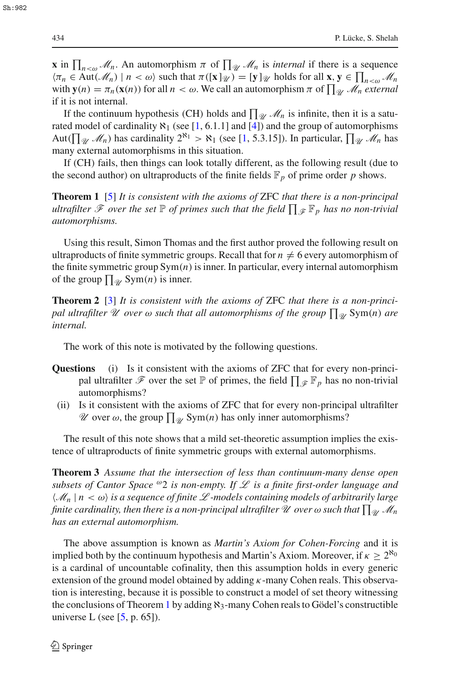**x** in  $\prod_{n \leq \omega} M_n$ . An automorphism  $\pi$  of  $\prod_{\mathcal{U}} M_n$  is *internal* if there is a sequence  $\langle \pi_n \in \text{Aut}(\mathcal{M}_n) \mid n < \omega \rangle$  such that  $\pi([\mathbf{x}]_{\mathcal{U}}) = [\mathbf{y}]_{\mathcal{U}}$  holds for all  $\mathbf{x}, \mathbf{y} \in \prod_{n \leq \omega} \mathcal{M}_n$ with  $\mathbf{y}(n) = \pi_n(\mathbf{x}(n))$  for all  $n < \omega$ . We call an automorphism  $\pi$  of  $\prod_{\mathcal{U}} \mathcal{M}_n$  *external* if it is not internal.

If the continuum hypothesis (CH) holds and  $\prod_{\mathcal{U}} \mathcal{M}_n$  is infinite, then it is a saturated model of cardinality  $\aleph_1$  (see [\[1](#page-8-0), 6.1.1] and [\[4](#page-8-1)]) and the group of automorphisms Aut( $\prod_{\mathcal{U}} \mathcal{M}_n$ ) has cardinality  $2^{\aleph_1} > \aleph_1$  (see [\[1,](#page-8-0) 5.3.15]). In particular,  $\prod_{\mathcal{U}} \mathcal{M}_n$  has many external automorphisms in this situation.

<span id="page-1-0"></span>If (CH) fails, then things can look totally different, as the following result (due to the second author) on ultraproducts of the finite fields  $\mathbb{F}_p$  of prime order p shows.

**Theorem 1** [\[5](#page-8-2)] *It is consistent with the axioms of* ZFC *that there is a non-principal*  $u$ ltrafilter  $\mathscr F$  *over the set*  $\mathbb P$  *of primes such that the field*  $\prod_{\mathscr F} \mathbb F_p$  *has no non-trivial automorphisms.*

Using this result, Simon Thomas and the first author proved the following result on ultraproducts of finite symmetric groups. Recall that for  $n \neq 6$  every automorphism of the finite symmetric group Sym(*n*) is inner. In particular, every internal automorphism of the group  $\prod_{\mathscr{U}}$  Sym $(n)$  is inner.

**Theorem 2** [\[3](#page-8-3)] *It is consistent with the axioms of* ZFC *that there is a non-princi* $p$ al ultrafilter  $\mathscr U$  over  $\omega$  such that all automorphisms of the group  $\prod_{\mathscr U} \mathrm{Sym}(n)$  are *internal.*

The work of this note is motivated by the following questions.

- **Questions** (i) Is it consistent with the axioms of ZFC that for every non-principal ultrafilter  $\mathscr F$  over the set  $\mathbb P$  of primes, the field  $\prod_{\mathscr F} \mathbb F_p$  has no non-trivial automorphisms?
- (ii) Is it consistent with the axioms of ZFC that for every non-principal ultrafilter *U* over  $\omega$ , the group  $\prod_{\mathcal{U}}$  Sym $(n)$  has only inner automorphisms?

<span id="page-1-1"></span>The result of this note shows that a mild set-theoretic assumption implies the existence of ultraproducts of finite symmetric groups with external automorphisms.

**Theorem 3** *Assume that the intersection of less than continuum-many dense open subsets of Cantor Space* <sup>ω</sup>2 *is non-empty. If L is a finite first-order language and*  $\langle \mathcal{M}_n | n \langle \omega \rangle$  *is a sequence of finite*  $\mathcal{L}$  *-models containing models of arbitrarily large* finite cardinality, then there is a non-principal ultrafilter  $\mathscr U$  over  $\omega$  such that  $\prod_{\mathscr U}\mathscr M_n$ *has an external automorphism.*

The above assumption is known as *Martin's Axiom for Cohen-Forcing* and it is implied both by the continuum hypothesis and Martin's Axiom. Moreover, if  $\kappa \geq 2^{\aleph_0}$ is a cardinal of uncountable cofinality, then this assumption holds in every generic extension of the ground model obtained by adding  $\kappa$ -many Cohen reals. This observation is interesting, because it is possible to construct a model of set theory witnessing the conclusions of Theorem [1](#page-1-0) by adding  $\aleph_3$ -many Cohen reals to Gödel's constructible universe L (see  $[5, p. 65]$  $[5, p. 65]$ ).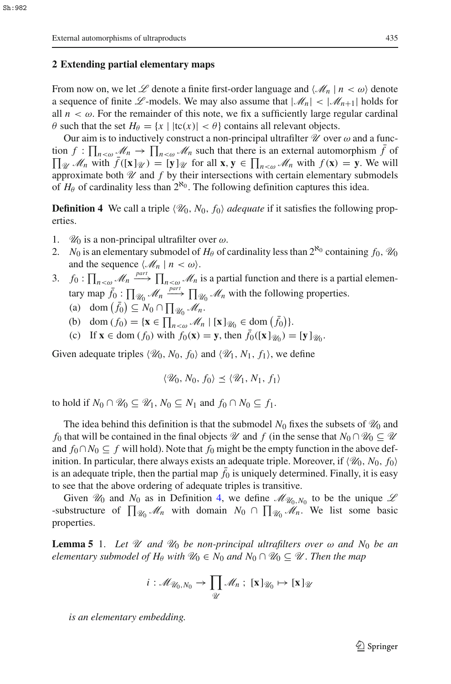### **2 Extending partial elementary maps**

From now on, we let  $\mathscr L$  denote a finite first-order language and  $\langle \mathscr M_n | n \langle \omega \rangle$  denote a sequence of finite L-models. We may also assume that  $|\mathcal{M}_n| < |\mathcal{M}_{n+1}|$  holds for all  $n < \omega$ . For the remainder of this note, we fix a sufficiently large regular cardinal  $\theta$  such that the set  $H_{\theta} = \{x \mid |tc(x)| < \theta\}$  contains all relevant objects.

Our aim is to inductively construct a non-principal ultrafilter  $\mathcal U$  over  $\omega$  and a function  $f: \prod_{n<\omega} M_n \to \prod_{n<\omega} M_n$  such that there is an external automorphism  $\bar{f}$  of  $\prod_{\mathcal{U}} M_n$  with  $\bar{f}([\mathbf{x}]_{\mathcal{U}}) = [\mathbf{y}]_{\mathcal{U}}$  for all  $\mathbf{x}, \mathbf{y} \in \prod_{n<\omega} M_n$  with  $f(\mathbf{x}) = \mathbf{y}$ . We will  $\prod_{\mathcal{U}} \mathcal{M}_n$  with  $\bar{f}([\mathbf{x}]_{\mathcal{U}}) = [\mathbf{y}]_{\mathcal{U}}$  for all  $\mathbf{x}, \mathbf{y} \in \prod_{n < \omega} \mathcal{M}_n$  with  $f(\mathbf{x}) = \mathbf{y}$ . We will approximate both  $U$  and  $f$  by their intersections with certain elementary submodels of  $H_\theta$  of cardinality less than  $2^{\aleph_0}$ . The following definition captures this idea.

<span id="page-2-0"></span>**Definition 4** We call a triple  $\langle \mathcal{U}_0, N_0, f_0 \rangle$  *adequate* if it satisfies the following properties.

- 1.  $\mathcal{U}_0$  is a non-principal ultrafilter over  $\omega$ .
- 2. *N*<sub>0</sub> is an elementary submodel of  $H_\theta$  of cardinality less than  $2^{\aleph_0}$  containing  $f_0$ ,  $\mathcal{U}_0$ and the sequence  $\langle M_n | n < \omega \rangle$ .
- 3. *f*<sub>0</sub> :  $\prod_{n < \omega}$  *M*<sub>n</sub>  $\longrightarrow$   $\prod_{n < \omega}$  *M*<sub>n</sub> is a partial function and there is a partial elementary map  $\bar{f}_0$ :  $\prod_{\mathcal{U}_0}$   $\mathcal{M}_n \xrightarrow{part}$   $\prod_{\mathcal{U}_0}$   $\mathcal{M}_n$  with the following properties.
	- (a) dom  $(\bar{f}_0) \subseteq N_0 \cap \prod_{\mathcal{U}_0} M_n$ .
	- (b) dom  $(f_0) = {\mathbf{x} \in \prod_{n < \omega} \mathcal{M}_n | [\mathbf{x}]_{\mathcal{U}_0} \in \text{dom}(\bar{f}_0) }$ .
	- (c) If  $\mathbf{x} \in \text{dom}(f_0)$  with  $f_0(\mathbf{x}) = \mathbf{y}$ , then  $\bar{f}_0([\mathbf{x}]_{\mathcal{U}_0}) = [\mathbf{y}]_{\mathcal{U}_0}$ .

Given adequate triples  $\langle \mathcal{U}_0, N_0, f_0 \rangle$  and  $\langle \mathcal{U}_1, N_1, f_1 \rangle$ , we define

$$
\langle \mathscr{U}_0, N_0, f_0 \rangle \le \langle \mathscr{U}_1, N_1, f_1 \rangle
$$

to hold if  $N_0 \cap \mathcal{U}_0 \subset \mathcal{U}_1$ ,  $N_0 \subset N_1$  and  $f_0 \cap N_0 \subset f_1$ .

The idea behind this definition is that the submodel  $N_0$  fixes the subsets of  $\mathcal{U}_0$  and *f*<sub>0</sub> that will be contained in the final objects  $\mathcal{U}$  and *f* (in the sense that  $N_0 \cap \mathcal{U}_0 \subseteq \mathcal{U}$ and  $f_0 \cap N_0 \subseteq f$  will hold). Note that  $f_0$  might be the empty function in the above definition. In particular, there always exists an adequate triple. Moreover, if  $\langle \mathcal{U}_0, N_0, f_0 \rangle$ is an adequate triple, then the partial map  $f_0$  is uniquely determined. Finally, it is easy to see that the above ordering of adequate triples is transitive.

Given  $\mathcal{U}_0$  and  $N_0$  as in Definition [4,](#page-2-0) we define  $\mathcal{M}_{\mathcal{U}_0,N_0}$  to be the unique  $\mathcal{L}$  $\mathcal{L}_{N}$ -substructure of  $\prod_{\mathcal{U}_{0}} \mathcal{M}_{n}$  with domain  $N_{0} \cap \prod_{\mathcal{U}_{0}} \mathcal{M}_{n}$ . We list some basic properties.

<span id="page-2-1"></span>**Lemma 5** 1. Let  $\mathcal{U}$  and  $\mathcal{U}_0$  be non-principal ultrafilters over  $\omega$  and  $N_0$  be an *elementary submodel of H*<sup>θ</sup> *with*  $\mathcal{U}_0 \in N_0$  *and*  $N_0 \cap \mathcal{U}_0 \subseteq \mathcal{U}$ . Then the map

$$
i: \mathscr{M}_{\mathscr{U}_0, N_0} \to \prod_{\mathscr{U}} \mathscr{M}_n ; [\mathbf{x}]_{\mathscr{U}_0} \mapsto [\mathbf{x}]_{\mathscr{U}}
$$

*is an elementary embedding.*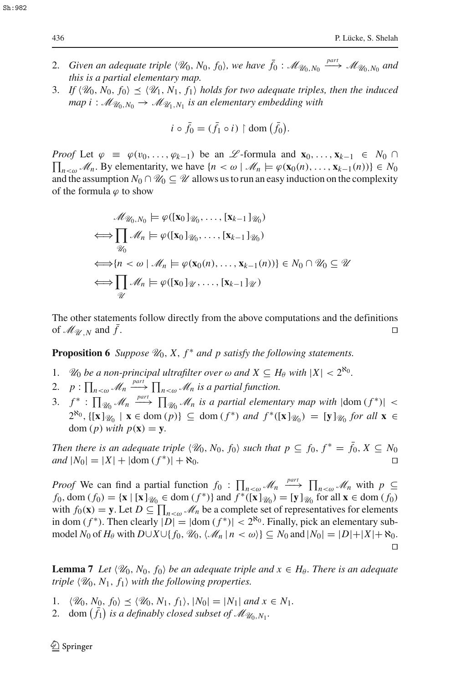- 2. *Given an adequate triple*  $\langle \mathcal{U}_0, N_0, f_0 \rangle$ , we have  $\bar{f}_0$  :  $\mathcal{M}_{\mathcal{U}_0, N_0} \stackrel{part}{\longrightarrow} \mathcal{M}_{\mathcal{U}_0, N_0}$  and *this is a partial elementary map.*
- 3. If  $\langle \mathcal{U}_0, N_0, f_0 \rangle \leq \langle \mathcal{U}_1, N_1, f_1 \rangle$  holds for two adequate triples, then the induced *map*  $i : \mathcal{M}_{\mathcal{U}_0, N_0} \to \mathcal{M}_{\mathcal{U}_1, N_1}$  *is an elementary embedding with*

$$
i \circ \bar{f}_0 = (\bar{f}_1 \circ i) \restriction \text{dom}(\bar{f}_0).
$$

*Proof* Let  $\varphi \equiv \varphi(v_0, \ldots, \varphi_{k-1})$  be an *L*-formula and  $\mathbf{x}_0, \ldots, \mathbf{x}_{k-1} \in N_0 \cap$  $\prod_{n \leq \omega} M_n$ . By elementarity, we have  $\{n < \omega \mid M_n \models \varphi(\mathbf{x}_0(n), \dots, \mathbf{x}_{k-1}(n))\} \in N_0$ and the assumption  $N_0 \cap \mathcal{U}_0 \subseteq \mathcal{U}$  allows us to run an easy induction on the complexity of the formula  $\varphi$  to show

$$
\mathcal{M}_{\mathcal{U}_0, N_0} \models \varphi([\mathbf{x}_0]_{\mathcal{U}_0}, \dots, [\mathbf{x}_{k-1}]_{\mathcal{U}_0})
$$
\n
$$
\Longleftrightarrow \prod_{\mathcal{U}_0} \mathcal{M}_n \models \varphi([\mathbf{x}_0]_{\mathcal{U}_0}, \dots, [\mathbf{x}_{k-1}]_{\mathcal{U}_0})
$$
\n
$$
\Longleftrightarrow \{n < \omega \mid \mathcal{M}_n \models \varphi(\mathbf{x}_0(n), \dots, \mathbf{x}_{k-1}(n))\} \in N_0 \cap \mathcal{U}_0 \subseteq \mathcal{U}
$$
\n
$$
\Longleftrightarrow \prod_{\mathcal{U}} \mathcal{M}_n \models \varphi([\mathbf{x}_0]_{\mathcal{U}}, \dots, [\mathbf{x}_{k-1}]_{\mathcal{U}})
$$

The other statements follow directly from the above computations and the definitions of  $\mathcal{M}_{\mathcal{U},N}$  and f.

<span id="page-3-0"></span>**Proposition 6** *Suppose*  $\mathcal{U}_0$ , *X*,  $f^*$  *and p satisfy the following statements.* 

- 1. *U*<sub>0</sub> *be a non-principal ultrafilter over*  $\omega$  *and*  $X \subseteq H_\theta$  *with*  $|X| < 2^{\aleph_0}$ *.*
- 2.  $p: \prod_{n<\omega} \mathcal{M}_n \stackrel{part}{\longrightarrow} \prod_{n<\omega} \mathcal{M}_n$  is a partial function.
- 3.  $f^*$  :  $\prod_{\mathcal{U}_0} \mathcal{M}_n \stackrel{part}{\longrightarrow} \prod_{\mathcal{U}_0} \mathcal{M}_n$  is a partial elementary map with  $|\text{dom}(f^*)|$  < 2<sup>80</sup>, {[**x**]<sub>\*W*0</sub> | **x** ∈ dom (*p*)} ⊆ dom (*f*<sup>\*</sup>) *and*  $f$ <sup>\*</sup>([**x**]<sub>*W*0</sub>) = [**y**]<sub>*W*0</sub> *for all* **x** ∈ dom  $(p)$  *with*  $p(\mathbf{x}) = \mathbf{y}$ .

*Then there is an adequate triple*  $\langle \mathcal{U}_0, N_0, f_0 \rangle$  such that  $p \subseteq f_0, f^* = \overline{f}_0, X \subseteq N_0$  $\Box$  *and*  $|N_0| = |X| + |\mathrm{dom}(f^*)| + \aleph_0$ .

*Proof* We can find a partial function  $f_0$  :  $\prod_{n < \omega} M_n \xrightarrow{part} \prod_{n < \omega} M_n$  with  $p \subseteq$ *f*<sub>0</sub>, dom (*f*<sub>0</sub>) = {**x** | [**x**]<sub>*W*<sub>0</sub></sub> ∈ dom (*f*<sup>\*</sup>)} and *f*<sup>\*</sup>([**x**]<sub>*W*<sub>0</sub></sub>) = [**y**]<sub>*W*<sub>0</sub></sub> for all **x** ∈ dom (*f*<sub>0</sub>) with  $f_0(\mathbf{x}) = \mathbf{y}$ . Let  $D \subseteq \prod_{n \leq \omega} M_n$  be a complete set of representatives for elements in dom ( $f^*$ ). Then clearly  $|D| = |\text{dom}(f^*)| < 2^{\aleph_0}$ . Finally, pick an elementary submodel  $N_0$  of  $H_\theta$  with  $D\cup X\cup\{f_0, \mathcal{U}_0, \langle \mathcal{M}_n | n < \omega \}$   $\subseteq N_0$  and  $|N_0| = |D| + |X| + \aleph_0$ .  $\Box$ 

<span id="page-3-1"></span>**Lemma 7** *Let*  $\langle \mathcal{U}_0, N_0, f_0 \rangle$  *be an adequate triple and*  $x \in H_\theta$ *. There is an adequate triple*  $\langle \mathcal{U}_0, N_1, f_1 \rangle$  *with the following properties.* 

1.  $\langle \mathcal{U}_0, N_0, f_0 \rangle \leq \langle \mathcal{U}_0, N_1, f_1 \rangle, |N_0| = |N_1|$  and  $x \in N_1$ .

2. dom  $(\bar{f}_1)$  is a definably closed subset of  $\mathcal{M}_{\mathcal{U}_0,N_1}$ .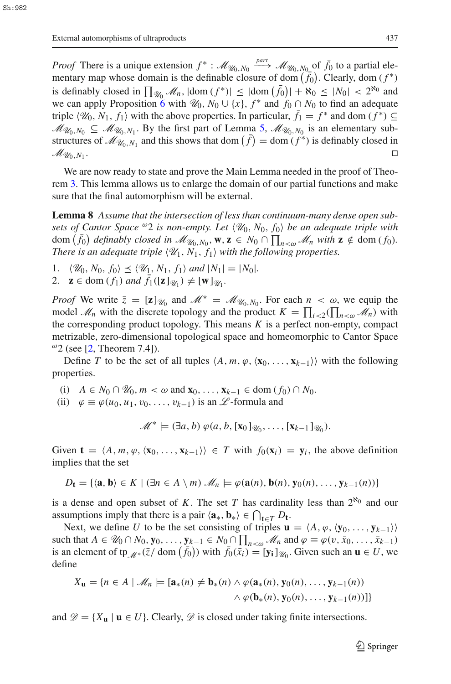*Proof* There is a unique extension  $f^* : \mathcal{M}_{\mathcal{U}_0, N_0} \xrightarrow{part} \mathcal{M}_{\mathcal{U}_0, N_0}$  of  $\bar{f}_0$  to a partial elementary map whose domain is the definable closure of dom  $(\bar{f}_0)$ . Clearly, dom  $(f^*)$ is definably closed in  $\prod_{\mathcal{U}_0} \mathcal{M}_n$ ,  $|\text{dom}(f^*)| \leq |\text{dom}(\bar{f}_0)| + \aleph_0 \leq |N_0| < 2^{\aleph_0}$  and we can apply Proposition [6](#page-3-0) with  $\mathcal{U}_0$ ,  $N_0 \cup \{x\}$ ,  $f^*$  and  $f_0 \cap N_0$  to find an adequate triple  $\langle \mathcal{U}_0, N_1, f_1 \rangle$  with the above properties. In particular,  $\bar{f}_1 = f^*$  and dom  $(f^*) \subseteq$  $M_{\mathcal{U}_0,N_0} \subseteq \mathcal{M}_{\mathcal{U}_0,N_1}$ . By the first part of Lemma [5,](#page-2-1)  $\mathcal{M}_{\mathcal{U}_0,N_0}$  is an elementary substructures of  $\mathcal{M}_{\mathcal{U}_0, N_1}$  and this shows that dom  $(f) = \text{dom}(f^*)$  is definably closed in  $\mathcal{M}_{\mathcal{U}_0, N_1}$ .

We are now ready to state and prove the Main Lemma needed in the proof of Theorem [3.](#page-1-1) This lemma allows us to enlarge the domain of our partial functions and make sure that the final automorphism will be external.

<span id="page-4-0"></span>**Lemma 8** *Assume that the intersection of less than continuum-many dense open subsets of Cantor Space*  $\omega_2$  *is non-empty. Let*  $\langle \mathcal{U}_0, N_0, f_0 \rangle$  *be an adequate triple with*  $dom\left(\bar{f}_0\right)$  definably closed in  $\mathcal{M}_{\mathcal{U}_0,N_0}$ ,  $\mathbf{w}, \mathbf{z} \in N_0 \cap \prod_{n < \omega} \mathcal{M}_n$  with  $\mathbf{z} \notin dom\left(f_0\right)$ . *There is an adequate triple*  $\langle \mathcal{U}_1, N_1, f_1 \rangle$  with the following properties.

- 1.  $\langle \mathcal{U}_0, N_0, f_0 \rangle \leq \langle \mathcal{U}_1, N_1, f_1 \rangle \text{ and } |N_1| = |N_0|$ *.*
- 2.  $\mathbf{z} \in \text{dom}(f_1) \text{ and } f_1([\mathbf{z}]_{\mathcal{U}_1}) \neq [\mathbf{w}]_{\mathcal{U}_1}.$

*Proof* We write  $\bar{z} = [\mathbf{z}]_{\mathcal{U}_0}$  and  $\mathcal{M}^* = \mathcal{M}_{\mathcal{U}_0, N_0}$ . For each  $n < \omega$ , we equip the model  $\mathcal{M}_n$  with the discrete topology and the product  $K = \prod_{i \leq 2} (\prod_{n \leq \omega} \mathcal{M}_n)$  with the corresponding product topology. This means *K* is a perfect non-empty, compact metrizable, zero-dimensional topological space and homeomorphic to Cantor Space  $^{\omega}$ 2 (see [\[2,](#page-8-4) Theorem 7.4]).

Define *T* to be the set of all tuples  $\langle A, m, \varphi, \langle \mathbf{x}_0, \dots, \mathbf{x}_{k-1} \rangle$  with the following properties.

- (i)  $A \in N_0 \cap \mathcal{U}_0, m < \omega \text{ and } \mathbf{x}_0, \ldots, \mathbf{x}_{k-1} \in \text{dom}(f_0) \cap N_0.$
- (ii)  $\varphi \equiv \varphi(u_0, u_1, v_0, \ldots, v_{k-1})$  is an *L*-formula and

 $\mathscr{M}^* \models (\exists a, b) \varphi(a, b, [\mathbf{x}_0]_{\mathscr{U}_0}, \dots, [\mathbf{x}_{k-1}]_{\mathscr{U}_0}).$ 

Given  $\mathbf{t} = \langle A, m, \varphi, \langle \mathbf{x}_0, \dots, \mathbf{x}_{k-1} \rangle \rangle \in T$  with  $f_0(\mathbf{x}_i) = \mathbf{y}_i$ , the above definition implies that the set

$$
D_{\mathbf{t}} = \{ \langle \mathbf{a}, \mathbf{b} \rangle \in K \mid (\exists n \in A \setminus m) \mathcal{M}_n \models \varphi(\mathbf{a}(n), \mathbf{b}(n), \mathbf{y}_0(n), \dots, \mathbf{y}_{k-1}(n)) \}
$$

is a dense and open subset of *K*. The set *T* has cardinality less than  $2^{\aleph_0}$  and our assumptions imply that there is a pair  $\langle \mathbf{a}_*, \mathbf{b}_* \rangle \in \bigcap_{\mathbf{t} \in T} D_{\mathbf{t}}$ .

Next, we define *U* to be the set consisting of triples  $\mathbf{u} = \langle A, \varphi, \langle \mathbf{y}_0, \dots, \mathbf{y}_{k-1} \rangle \rangle$ such that  $A \in \mathcal{U}_0 \cap N_0, \mathbf{y}_0, \ldots, \mathbf{y}_{k-1} \in N_0 \cap \prod_{n < \omega} \mathcal{M}_n$  and  $\varphi \equiv \varphi(v, \bar{x}_0, \ldots, \bar{x}_{k-1})$ is an element of tp<sub>*M*<sup>∗</sup></sub>( $\overline{z}/$  dom  $(\overline{f}_0)$ ) with  $\overline{f}_0(\overline{x}_i) = [y_i]_{\mathcal{U}_0}$ . Given such an  $\mathbf{u} \in U$ , we define

$$
X_{\mathbf{u}} = \{n \in A \mid \mathcal{M}_n \models [\mathbf{a}_*(n) \neq \mathbf{b}_*(n) \land \varphi(\mathbf{a}_*(n), \mathbf{y}_0(n), \dots, \mathbf{y}_{k-1}(n)) \land \varphi(\mathbf{b}_*(n), \mathbf{y}_0(n), \dots, \mathbf{y}_{k-1}(n))]\}
$$

and  $\mathcal{D} = \{X_{\mathbf{u}} \mid \mathbf{u} \in U\}$ . Clearly,  $\mathcal{D}$  is closed under taking finite intersections.

 $\mathcal{L}$  Springer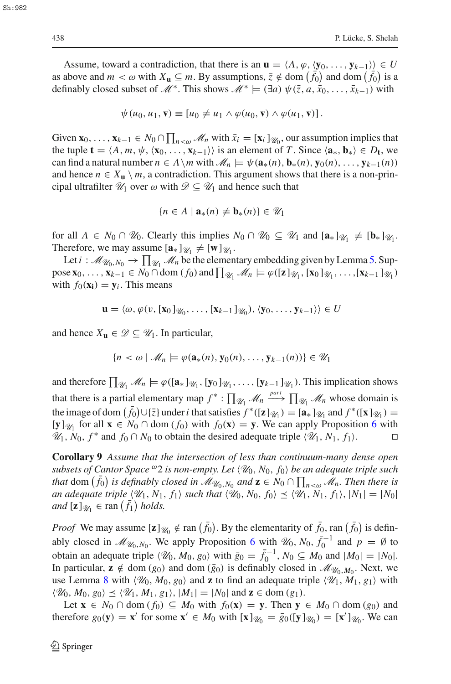Assume, toward a contradiction, that there is an  $\mathbf{u} = \langle A, \varphi, \langle \mathbf{y}_0, \dots, \mathbf{y}_{k-1} \rangle \rangle \in U$ as above and  $m < \omega$  with  $X_{\mathbf{u}} \subseteq m$ . By assumptions,  $\overline{z} \notin \text{dom}(\overline{f}_0)$  and dom  $(\overline{f}_0)$  is a definably closed subset of  $\mathcal{M}^*$ . This shows  $\mathcal{M}^* \models (\exists a) \psi(\bar{z}, a, \bar{x}_0, \dots, \bar{x}_{k-1})$  with

$$
\psi(u_0, u_1, \mathbf{v}) \equiv [u_0 \neq u_1 \wedge \varphi(u_0, \mathbf{v}) \wedge \varphi(u_1, \mathbf{v})].
$$

Given  $\mathbf{x}_0, \ldots, \mathbf{x}_{k-1} \in N_0 \cap \prod_{n \lt \omega} M_n$  with  $\bar{x}_i = [\mathbf{x}_i]_{\mathcal{U}_0}$ , our assumption implies that the tuple  $\mathbf{t} = \langle A, m, \psi, \langle \mathbf{x}_0, \dots, \mathbf{x}_{k-1} \rangle \rangle$  is an element of *T*. Since  $\langle \mathbf{a}_*, \mathbf{b}_* \rangle \in D_{\mathbf{t}}$ , we can find a natural number  $n \in A \setminus m$  with  $\mathcal{M}_n \models \psi(\mathbf{a}_*(n), \mathbf{b}_*(n), \mathbf{y}_0(n), \dots, \mathbf{y}_{k-1}(n))$ and hence  $n \in X_u \setminus m$ , a contradiction. This argument shows that there is a non-principal ultrafilter  $\mathcal{U}_1$  over  $\omega$  with  $\mathcal{D} \subseteq \mathcal{U}_1$  and hence such that

$$
\{n \in A \mid \mathbf{a}_*(n) \neq \mathbf{b}_*(n)\} \in \mathcal{U}_1
$$

for all  $A \in N_0 \cap \mathcal{U}_0$ . Clearly this implies  $N_0 \cap \mathcal{U}_0 \subseteq \mathcal{U}_1$  and  $[\mathbf{a}_*]_{\mathcal{U}_1} \neq [\mathbf{b}_*]_{\mathcal{U}_1}$ . Therefore, we may assume  $[\mathbf{a}_*]_{\mathcal{U}_1} \neq [\mathbf{w}]_{\mathcal{U}_1}$ .

Let  $i : \mathcal{M}_{\mathcal{U}_0, N_0} \to \prod_{\mathcal{U}_1} \mathcal{M}_n$  be the elementary embedding given by Lemma [5.](#page-2-1) Sup- $\text{pose } \mathbf{x}_0, \ldots, \mathbf{x}_{k-1} \in N_0 \cap \text{dom}(f_0) \text{ and } \prod_{\mathcal{U}_1} \mathcal{M}_n \models \varphi([\mathbf{z}]_{\mathcal{U}_1}, [\mathbf{x}_0]_{\mathcal{U}_1}, \ldots, [\mathbf{x}_{k-1}]_{\mathcal{U}_1})$ with  $f_0(x_i) = y_i$ . This means

$$
\mathbf{u} = \langle \omega, \varphi(v, [\mathbf{x}_0]_{\mathscr{U}_0}, \dots, [\mathbf{x}_{k-1}]_{\mathscr{U}_0}), \langle \mathbf{y}_0, \dots, \mathbf{y}_{k-1} \rangle \rangle \in U
$$

and hence  $X_{\mathbf{u}} \in \mathcal{D} \subseteq \mathcal{U}_1$ . In particular,

$$
\{n < \omega \mid \mathcal{M}_n \models \varphi(\mathbf{a}_*(n), \mathbf{y}_0(n), \dots, \mathbf{y}_{k-1}(n))\} \in \mathcal{U}_1
$$

and therefore  $\prod_{\mathscr{U}_1} \mathscr{M}_n \models \varphi([\mathbf{a}_*]_{\mathscr{U}_1}, [\mathbf{y}_0]_{\mathscr{U}_1}, \dots, [\mathbf{y}_{k-1}]_{\mathscr{U}_1})$ . This implication shows that there is a partial elementary map  $f^* : \prod_{\mathcal{U}_1} \mathcal{M}_n \xrightarrow{part} \prod_{\mathcal{U}_1} \mathcal{M}_n$  whose domain is the image of dom  $(\bar{f}_0) \cup \{\bar{z}\}\$ under *i* that satisfies  $f^*([\mathbf{z}]_{\mathcal{U}_1}) = [\mathbf{a}_*]_{\mathcal{U}_1}$  and  $f^*([\mathbf{x}]_{\mathcal{U}_1}) =$ [**y**]<sub>\/{\pi}{ $\chi$ <sub>1</sub> for all **x** ∈  $N_0$  ∩ dom ( $f_0$ ) with  $f_0$ (**x**) = **y**. We can apply Proposition [6](#page-3-0) with</sub> *V*<sub>1</sub>, *N*<sub>0</sub>, *f*<sup>\*</sup> and *f*<sub>0</sub> ∩ *N*<sub>0</sub> to obtain the desired adequate triple  $\langle \mathcal{U}_1, N_1, f_1 \rangle$ . □

<span id="page-5-0"></span>**Corollary 9** *Assume that the intersection of less than continuum-many dense open*  $subsets$  of Cantor Space  $^{\omega_2}$  is non-empty. Let  $\langle \mathcal{U}_0, N_0, f_0 \rangle$  be an adequate triple such *that* dom  $(\bar{f}_0)$  *is definably closed in*  $\overline{\mathcal{M}}_{\mathcal{U}_0,N_0}$  *and*  $\mathbf{z} \in N_0 \cap \prod_{n < \omega} \hat{\mathcal{M}}_n$ *. Then there is an adequate triple*  $\langle \mathcal{U}_1, N_1, f_1 \rangle$  such that  $\langle \mathcal{U}_0, N_0, f_0 \rangle \leq \langle \mathcal{U}_1, N_1, f_1 \rangle$ ,  $|N_1| = |N_0|$  $and \overline{[z]}_{\mathscr{U}_1} \in \text{ran}(\overline{f}_1) \text{ holds.}$ 

*Proof* We may assume  $[\mathbf{z}]_{\mathcal{U}_0} \notin \text{ran}(\bar{f}_0)$ . By the elementarity of  $\bar{f}_0$ , ran  $(\bar{f}_0)$  is definably closed in  $\mathcal{M}_{\mathcal{U}_0, N_0}$ . We apply Proposition [6](#page-3-0) with  $\mathcal{U}_0, N_0, \bar{f}_0^{-1}$  and  $p = \emptyset$  to obtain an adequate triple  $\langle \mathcal{U}_0, M_0, g_0 \rangle$  with  $\bar{g}_0 = \bar{f}_0^{-1}$ ,  $N_0 \subseteq M_0$  and  $|M_0| = |N_0|$ . In particular,  $z \notin \text{dom}(g_0)$  and dom  $(\bar{g}_0)$  is definably closed in  $\mathcal{M}_{\mathcal{U}_0,M_0}$ . Next, we use Lemma [8](#page-4-0) with  $\langle \mathcal{U}_0, M_0, g_0 \rangle$  and **z** to find an adequate triple  $\langle \mathcal{U}_1, M_1, g_1 \rangle$  with  $\langle \mathcal{U}_0, M_0, g_0 \rangle \leq \langle \mathcal{U}_1, M_1, g_1 \rangle, |M_1| = |N_0|$  and  $\mathbf{z} \in \text{dom}(g_1)$ .

Let **x** ∈  $N_0$  ∩ dom  $(f_0)$  ⊆  $M_0$  with  $f_0$ (**x**) = **y**. Then **y** ∈  $M_0$  ∩ dom ( $g_0$ ) and therefore  $g_0(\mathbf{y}) = \mathbf{x}'$  for some  $\mathbf{x}' \in M_0$  with  $[\mathbf{x}]_{\mathcal{U}_0} = \bar{g}_0([\mathbf{y}]_{\mathcal{U}_0}) = [\mathbf{x}']_{\mathcal{U}_0}$ . We can

Sh:982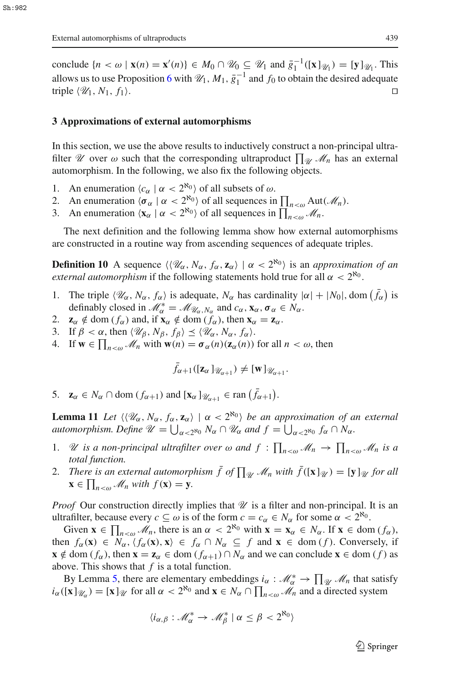conclude  $\{n < \omega \mid \mathbf{x}(n) = \mathbf{x}'(n)\}\in M_0 \cap \mathcal{U}_0 \subseteq \mathcal{U}_1$  and  $\bar{g}_1^{-1}([\mathbf{x}]_{\mathcal{U}_1}) = [\mathbf{y}]_{\mathcal{U}_1}$ . This allows us to use Proposition [6](#page-3-0) with  $\mathcal{U}_1$ ,  $M_1$ ,  $\bar{g}_1^{-1}$  and  $f_0$  to obtain the desired adequate triple  $\langle \mathcal{U}_1, N_1, f_1 \rangle$ .

#### **3 Approximations of external automorphisms**

In this section, we use the above results to inductively construct a non-principal ultrafilter *U* over  $\omega$  such that the corresponding ultraproduct  $\prod_{\mathcal{U}} \mathcal{M}_n$  has an external automorphism. In the following, we also fix the following objects.

- 1. An enumeration  $\langle c_{\alpha} | \alpha < 2^{\aleph_0} \rangle$  of all subsets of  $\omega$ .
- 2. An enumeration  $\langle \sigma_{\alpha} | \alpha < 2^{\aleph_0} \rangle$  of all sequences in  $\prod_{n < \omega} \text{Aut}(\mathcal{M}_n)$ .
- 3. An enumeration  $\langle \mathbf{x}_{\alpha} | \alpha < 2^{\aleph_0} \rangle$  of all sequences in  $\prod_{n < \omega} \mathcal{M}_n$ .

<span id="page-6-3"></span>The next definition and the following lemma show how external automorphisms are constructed in a routine way from ascending sequences of adequate triples.

**Definition 10** A sequence  $\langle\langle \mathcal{U}_\alpha, N_\alpha, f_\alpha, \mathbf{z}_\alpha \rangle \mid \alpha < 2^{\aleph_0} \rangle$  is an *approximation of an external automorphism* if the following statements hold true for all  $\alpha < 2^{\aleph_0}$ .

- <span id="page-6-0"></span>1. The triple  $\langle \mathcal{U}_\alpha, N_\alpha, f_\alpha \rangle$  is adequate,  $N_\alpha$  has cardinality  $|\alpha| + |N_0|$ , dom  $(\bar{f}_\alpha)$  is definably closed in  $\mathcal{M}_{\alpha}^* = \mathcal{M}_{\mathcal{U}_{\alpha}, N_{\alpha}}$  and  $c_{\alpha}, \mathbf{x}_{\alpha}, \sigma_{\alpha} \in N_{\alpha}$ .
- <span id="page-6-2"></span><span id="page-6-1"></span>2.  $\mathbf{z}_{\alpha} \notin \text{dom}(f_{\alpha})$  and, if  $\mathbf{x}_{\alpha} \notin \text{dom}(f_{\alpha})$ , then  $\mathbf{x}_{\alpha} = \mathbf{z}_{\alpha}$ .
- <span id="page-6-4"></span>3. If  $\beta < \alpha$ , then  $\langle \mathcal{U}_{\beta}, N_{\beta}, f_{\beta} \rangle \leq \langle \mathcal{U}_{\alpha}, N_{\alpha}, f_{\alpha} \rangle$ .
- 4. If  $\mathbf{w} \in \prod_{n \leq \omega} \mathcal{M}_n$  with  $\mathbf{w}(n) = \sigma_\alpha(n)(\mathbf{z}_\alpha(n))$  for all  $n < \omega$ , then

$$
\bar{f}_{\alpha+1}([\mathbf{z}_{\alpha}]_{\mathscr{U}_{\alpha+1}}) \neq [\mathbf{w}]_{\mathscr{U}_{\alpha+1}}.
$$

<span id="page-6-5"></span>5.  $\mathbf{z}_{\alpha} \in N_{\alpha} \cap \text{dom}(f_{\alpha+1}) \text{ and } [\mathbf{x}_{\alpha}]_{\mathcal{U}_{\alpha+1}} \in \text{ran}(\bar{f}_{\alpha+1}).$ 

<span id="page-6-6"></span>**Lemma 11** *Let*  $\langle \langle \mathcal{U}_\alpha, N_\alpha, f_\alpha, \mathbf{z}_\alpha \rangle \mid \alpha < 2^{\aleph_0} \rangle$  be an approximation of an external *automorphism. Define*  $\mathscr{U} = \bigcup_{\alpha < 2^{\aleph_0}} N_\alpha \cap \mathscr{U}_\alpha$  and  $f = \bigcup_{\alpha < 2^{\aleph_0}} f_\alpha \cap N_\alpha$ .

- 1. *U* is a non-principal ultrafilter over  $\omega$  and  $f : \prod_{n<\omega} M_n \to \prod_{n<\omega} M_n$  is a *total function.*
- 2. *There is an external automorphism*  $\bar{f}$  *of*  $\prod_{\mathcal{U}} \mathcal{M}_n$  *with*  $\bar{f}([\mathbf{x}]_{\mathcal{U}}) = [\mathbf{y}]_{\mathcal{U}}$  *for all*  $\mathbf{x} \in \prod_{n \leq \omega} \mathcal{M}_n$  with  $f(\mathbf{x}) = \mathbf{y}$ .

*Proof* Our construction directly implies that  $\mathcal U$  is a filter and non-principal. It is an ultrafilter, because every  $c \subseteq \omega$  is of the form  $c = c_{\alpha} \in N_{\alpha}$  for some  $\alpha < 2^{\aleph_0}$ .

Given  $\mathbf{x} \in \prod_{n < \omega} M_n$ , there is an  $\alpha < 2^{\aleph_0}$  with  $\mathbf{x} = \mathbf{x}_\alpha \in N_\alpha$ . If  $\mathbf{x} \in \text{dom}(f_\alpha)$ , then  $f_{\alpha}(\mathbf{x}) \in N_{\alpha}, \langle f_{\alpha}(\mathbf{x}), \mathbf{x} \rangle \in f_{\alpha} \cap N_{\alpha} \subseteq f$  and  $\mathbf{x} \in \text{dom}(f)$ . Conversely, if **x** ∉ dom ( $f_\alpha$ ), then **x** = **z**<sub>α</sub> ∈ dom ( $f_{\alpha+1}$ ) ∩  $N_\alpha$  and we can conclude **x** ∈ dom ( $f$ ) as above. This shows that *f* is a total function.

By Lemma [5,](#page-2-1) there are elementary embeddings  $i_\alpha : \mathcal{M}_\alpha^* \to \prod_{\mathcal{U}} \mathcal{M}_n$  that satisfy  $i_{\alpha}([\mathbf{x}]_{\mathcal{U}_{\alpha}}) = [\mathbf{x}]_{\mathcal{U}}$  for all  $\alpha < 2^{\aleph_0}$  and  $\mathbf{x} \in N_{\alpha} \cap \prod_{n < \omega} \mathcal{M}_n$  and a directed system

$$
\langle i_{\alpha,\beta} : \mathcal{M}_{\alpha}^* \to \mathcal{M}_{\beta}^* \mid \alpha \leq \beta < 2^{\aleph_0} \rangle
$$

 $\mathcal{L}$  Springer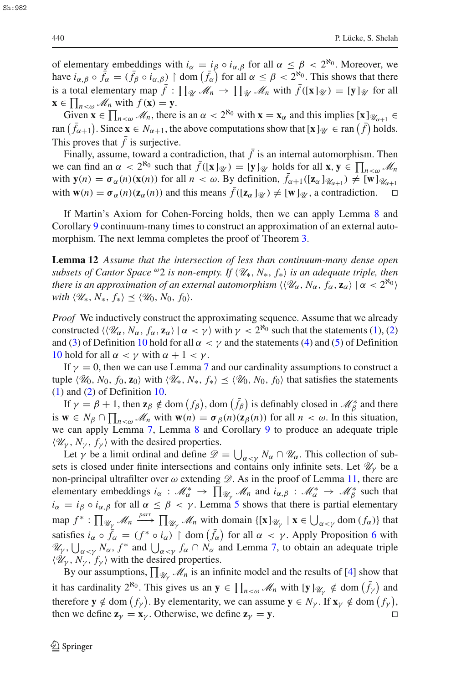of elementary embeddings with  $i_\alpha = i_\beta \circ i_{\alpha,\beta}$  for all  $\alpha \leq \beta < 2^{\aleph_0}$ . Moreover, we have  $i_{\alpha,\beta} \circ \bar{f}_{\alpha} = (\bar{f}_{\beta} \circ i_{\alpha,\beta}) \restriction \text{dom}(\bar{f}_{\alpha})$  for all  $\alpha \leq \beta < 2^{\aleph_0}$ . This shows that there is a total elementary map  $\bar{f}$  :  $\prod_{\mathcal{U}} \mathcal{M}_n \to \prod_{\mathcal{U}} \mathcal{M}_n$  with  $\bar{f}([\mathbf{x}]_{\mathcal{U}}) = [\mathbf{y}]_{\mathcal{U}}$  for all  $\mathbf{x} \in \prod_{n \leq \omega} \mathcal{M}_n$  with  $f(\mathbf{x}) = \mathbf{y}$ .

Given  $\mathbf{x} \in \prod_{n \leq \omega} \mathcal{M}_n$ , there is an  $\alpha < 2^{\aleph_0}$  with  $\mathbf{x} = \mathbf{x}_\alpha$  and this implies  $[\mathbf{x}]_{\mathcal{U}_{\alpha+1}} \in$ ran  $(\bar{f}_{\alpha+1})$ . Since  $\mathbf{x} \in N_{\alpha+1}$ , the above computations show that  $[\mathbf{x}]_{\mathcal{U}} \in \text{ran}(\bar{f})$  holds. This proves that  $\bar{f}$  is surjective.

Finally, assume, toward a contradiction, that  $\bar{f}$  is an internal automorphism. Then we can find an  $\alpha < 2^{\aleph_0}$  such that  $\bar{f}([\mathbf{x}]_{\mathcal{U}}) = [\mathbf{y}]_{\mathcal{U}}$  holds for all  $\mathbf{x}, \mathbf{y} \in \prod_{n < \omega} \mathcal{M}_n$ with  $\mathbf{y}(n) = \sigma_{\alpha}(n)(\mathbf{x}(n))$  for all  $n < \omega$ . By definition,  $\bar{f}_{\alpha+1}([\mathbf{z}_{\alpha}]_{\mathcal{U}_{\alpha+1}}) \neq [\mathbf{w}]_{\mathcal{U}_{\alpha+1}}$ with  $\mathbf{w}(n) = \sigma_{\alpha}(n)(\mathbf{z}_{\alpha}(n))$  and this means  $\bar{f}([\mathbf{z}_{\alpha}]_{\mathcal{U}}) \neq [\mathbf{w}]_{\mathcal{U}}$ , a contradiction.

If Martin's Axiom for Cohen-Forcing holds, then we can apply Lemma [8](#page-4-0) and Corollary [9](#page-5-0) continuum-many times to construct an approximation of an external auto-morphism. The next lemma completes the proof of Theorem [3.](#page-1-1)

**Lemma 12** *Assume that the intersection of less than continuum-many dense open subsets of Cantor Space* <sup> $\omega$ </sup>2 *is non-empty. If*  $\langle \mathcal{U}_*, N_*, f_* \rangle$  *is an adequate triple, then there is an approximation of an external automorphism*  $\langle\langle \mathscr{U}_\alpha, N_\alpha, f_\alpha, \mathbf{z}_\alpha\rangle \mid \alpha < 2^{\aleph_0}\rangle$  $with \langle \mathcal{U}_*, N_*, f_* \rangle \leq \langle \mathcal{U}_0, N_0, f_0 \rangle.$ 

*Proof* We inductively construct the approximating sequence. Assume that we already constructed  $\langle \langle \mathcal{U}_\alpha, N_\alpha, f_\alpha, \mathbf{z}_\alpha \rangle \mid \alpha < \gamma \rangle$  with  $\gamma < 2^{\aleph_0}$  such that the statements [\(1\)](#page-6-0), [\(2\)](#page-6-1) and [\(3\)](#page-6-2) of Definition [10](#page-6-3) hold for all  $\alpha < \gamma$  and the statements [\(4\)](#page-6-4) and [\(5\)](#page-6-5) of Definition [10](#page-6-3) hold for all  $\alpha < \gamma$  with  $\alpha + 1 < \gamma$ .

If  $\gamma = 0$ , then we can use Lemma [7](#page-3-1) and our cardinality assumptions to construct a tuple  $\langle \mathcal{U}_0, N_0, f_0, \mathbf{z}_0 \rangle$  with  $\langle \mathcal{U}_*, N_*, f_* \rangle \leq \langle \mathcal{U}_0, N_0, f_0 \rangle$  that satisfies the statements [\(1\)](#page-6-0) and [\(2\)](#page-6-1) of Definition [10.](#page-6-3)

If  $\gamma = \beta + 1$ , then  $\mathbf{z}_{\beta} \notin \text{dom}(f_{\beta})$ , dom  $(\bar{f}_{\beta})$  is definably closed in  $\mathcal{M}_{\beta}^*$  and there is  $\mathbf{w} \in N_\beta \cap \prod_{n < \omega} M_n$  with  $\mathbf{w}(n) = \sigma_\beta(n) (\mathbf{z}_\beta(n))$  for all  $n < \omega$ . In this situation, we can apply Lemma [7,](#page-3-1) Lemma [8](#page-4-0) and Corollary [9](#page-5-0) to produce an adequate triple  $\langle \mathcal{U}_{\gamma}, N_{\gamma}, f_{\gamma} \rangle$  with the desired properties.

Let  $\gamma$  be a limit ordinal and define  $\mathscr{D} = \bigcup_{\alpha < \gamma} N_{\alpha} \cap \mathscr{U}_{\alpha}$ . This collection of subsets is closed under finite intersections and contains only infinite sets. Let  $\mathcal{U}_{\gamma}$  be a non-principal ultrafilter over  $\omega$  extending  $\mathscr{D}$ . As in the proof of Lemma [11,](#page-6-6) there are elementary embeddings  $i_{\alpha}$  :  $\mathcal{M}_{\alpha}^{*} \to \prod_{\mathcal{U}_{\gamma}} \mathcal{M}_{n}$  and  $i_{\alpha,\beta}$  :  $\mathcal{M}_{\alpha}^{*} \to \mathcal{M}_{\beta}^{*}$  such that  $i_\alpha = i_\beta \circ i_{\alpha,\beta}$  for all  $\alpha \leq \beta < \gamma$ . Lemma [5](#page-2-1) shows that there is partial elementary  $\text{map } f^* : \prod_{\mathcal{U}_{\gamma}} \mathcal{M}_n \xrightarrow{part} \prod_{\mathcal{U}_{\gamma}} \mathcal{M}_n \text{ with domain } \{[\mathbf{x}]_{\mathcal{U}_{\gamma}} \mid \mathbf{x} \in \bigcup_{\alpha < \gamma} \text{dom } (f_{\alpha})\}$  that satisfies  $i_{\alpha} \circ \overline{f}_{\alpha} = (f^* \circ i_{\alpha}) \upharpoonright \text{ dom}(\overline{f}_{\alpha})$  for all  $\alpha < \gamma$ . Apply Proposition [6](#page-3-0) with  $\mathscr{U}_{\gamma}$ ,  $\bigcup_{\alpha < \gamma} N_{\alpha}$ ,  $f^*$  and  $\bigcup_{\alpha < \gamma} f_{\alpha} \cap N_{\alpha}$  and Lemma [7,](#page-3-1) to obtain an adequate triple  $\langle \mathcal{U}_{\gamma}, N_{\gamma}, f_{\gamma} \rangle$  with the desired properties.

By our assumptions,  $\prod_{\mathscr{U}_\gamma} \mathscr{M}_n$  is an infinite model and the results of [\[4](#page-8-1)] show that it has cardinality  $2^{\aleph_0}$ . This gives us an  $y \in \prod_{n < \omega} M_n$  with  $[y]_{\mathscr{U}_\gamma} \notin \text{dom}(\bar{f}_\gamma)$  and therefore  $y \notin \text{dom}(f_\gamma)$ . By elementarity, we can assume  $y \in N_\gamma$ . If  $x_\gamma \notin \text{dom}(f_\gamma)$ , then we define  $\mathbf{z}_{\gamma} = \mathbf{x}_{\gamma}$ . Otherwise, we define  $\mathbf{z}_{\gamma} = \mathbf{y}$ .

Sh:982